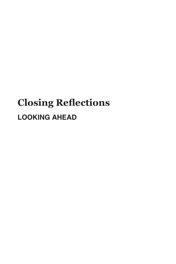# **Closing Reflections LOOKING AHEAD**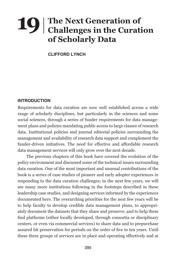## **The Next Generation of 19** The Next Generation of Challenges in the Curation **of Scholarly Data**

**CLIFFORD LYNCH**

### **INTRODUCTION**

Requirements for data curation are now well established across a wide range of scholarly disciplines, but particularly in the sciences and some social sciences, through a series of funder requirements for data management plans and policies mandating public access to large classes of research data. Institutional policies and journal editorial policies surrounding the management and availability of research data support and complement the funder-driven initiatives. The need for effective and affordable research data management services will only grow over the next decade.

The previous chapters of this book have covered the evolution of the policy environment and discussed some of the technical issues surrounding data curation. One of the most important and unusual contributions of the book is a series of case studies of pioneer and early adopter experiences in responding to the data curation challenges; in the next few years, we will see many more institutions following in the footsteps described in these leadership case studies, and designing services informed by the experiences documented here. The overarching priorities for the next few years will be to help faculty to develop credible data management plans, to appropriately document the datasets that they share and preserve, and to help them find platforms (either locally developed, through consortia or disciplinary centers, or even via commercial services) to share data and to prepurchase assured bit preservation for periods on the order of five to ten years. Until these three groups of services are in place and operating effectively and at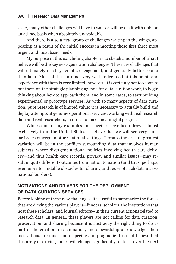scale, many other challenges will have to wait or will be dealt with only on an ad-hoc basis when absolutely unavoidable.

And there is also a *new* group of challenges waiting in the wings, appearing as a result of the initial success in meeting these first three most urgent and most basic needs.

My purpose in this concluding chapter is to sketch a number of what I believe will be the key next-generation challenges. These are challenges that will ultimately need systematic engagement, and generally better sooner than later. Most of these are not very well understood at this point, and experience with them is very limited; however, it is certainly not too soon to put them on the strategic planning agenda for data curation work, to begin thinking about how to approach them, and in some cases, to start building experimental or prototype services. As with so many aspects of data curation, pure research is of limited value; it is necessary to actually build and deploy attempts at genuine operational services, working with real research data and real researchers, in order to make meaningful progress.

While some of my examples and specifics have been drawn almost exclusively from the United States, I believe that we will see very similar issues emerge in other national settings. Perhaps the area of greatest variation will be in the conflicts surrounding data that involves human subjects, where divergent national policies involving health care delivery—and thus health care records, privacy, and similar issues—may result in quite different outcomes from nation to nation (and thus, perhaps, even more formidable obstacles for sharing and reuse of such data *across*  national borders).

## **MOTIVATIONS AND DRIVERS FOR THE DEPLOYMENT OF DATA CURATION SERVICES**

Before looking at these new challenges, it is useful to summarize the forces that are driving the various players—funders, scholars, the institutions that host these scholars, and journal editors—in their current actions related to research data. In general, these players are not calling for data curation, preservation, and sharing because it is abstractly the right thing to do as part of the creation, dissemination, and stewardship of knowledge; their motivations are much more specific and pragmatic. I do not believe that this array of driving forces will change significantly, at least over the next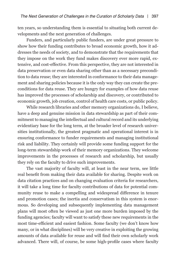ten years, so understanding them is essential to situating both current developments and the next generation of challenges.

Funders, and particularly public funders, are under great pressure to show how their funding contributes to broad economic growth, how it addresses the needs of society, and to demonstrate that the requirements that they impose on the work they fund makes discovery ever more rapid, extensive, and cost-effective. From this perspective, they are not interested in data preservation or even data sharing other than as a necessary precondition to data reuse; they are interested in conformance to their data management and sharing policies because it is the only way they can create the preconditions for data reuse. They are hungry for examples of how data reuse has improved the processes of scholarship and discovery, or contributed to economic growth, job creation, control of health care costs, or public policy.

While research libraries and other memory organizations do, I believe, have a deep and genuine mission in data stewardship as part of their commitment to managing the intellectual and cultural record and its underlying evidentiary base for the long term, at the broader level of research universities institutionally, the greatest pragmatic and operational interest is in ensuring conformance to funder requirements and managing institutional risk and liability. They certainly will provide some funding support for the long-term stewardship work of their memory organizations. They welcome improvements in the processes of research and scholarship, but usually they rely on the faculty to drive such improvements.

The vast majority of faculty will, at least in the near term, see little real benefit from making their data available for sharing. Despite work on data citation practices and on changing evaluation criteria for researchers, it will take a long time for faculty contributions of data for potential community reuse to make a compelling and widespread difference in tenure and promotion cases; the inertia and conservatism in this system is enormous. So developing and subsequently implementing data management plans will most often be viewed as just one more burden imposed by the funding agencies; faculty will want to satisfy these new requirements in the most time-efficient and easiest fashion. Some faculty (we don't know how many, or in what disciplines) will be very creative in exploiting the growing amounts of data available for reuse and will find their own scholarly work advanced. There will, of course, be some high-profile cases where faculty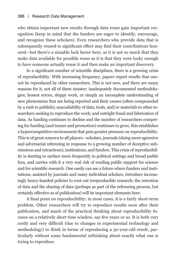who obtain important new results through data reuse gain important recognition (keep in mind that the funders are eager to identify, encourage, and recognize these scholars). Even researchers who provide data that is subsequently reused to significant effect may find their contributions honored—but there's a sizeable luck factor here, as it is not so much that they make data available for possible reuse as it is that they were lucky enough to have someone actually reuse it and then make an important discovery.

In a significant number of scientific disciplines, there is a growing crisis of reproducibility. With increasing frequency, papers report results that cannot be reproduced by other researchers. This is not new, and there are many reasons for it, not all of them sinister: inadequately documented methodologies; honest errors, sloppy work, or simply an incomplete understanding of new phenomena that are being reported and their causes (often compounded by a rush to publish); unavailability of data, tools, and/or materials to other researchers seeking to reproduce the work; and outright fraud and fabrication of data. As funding continues to decline and the number of researchers competing for funding (and tenure and promotion) continues to grow, this establishes a hypercompetitive environment that puts greater pressure on reproducibility. This is of great concern to all players—scholars, journals (doing more agressive and adversarial refereeing in response to a growing number of deceptive submissions and retractions), institutions, and funders. This crisis of reproducibility is starting to surface more frequently in political settings and broad public fora, and carries with it a very real risk of eroding public support for science and for scientific research. One easily can see a future where funders and institutions, assisted by journals and many individual scholars, introduce increasingly heavy-handed policies to root out irreproducible research; the retention of data and the sharing of data (perhaps as part of the refereeing process, but certainly effective as of publication) will be important elements here.

A final point on reproducibility: in most cases, it is a fairly short-term problem. Other researchers will try to reproduce results soon after their publication, and much of the practical thinking about reproducibility focuses on a relatively short time window, say five years or so. It is both very costly and very difficult (due to changes in experimental technology and methodology) to think in terms of reproducing a 50-year-old result, particularly without some fundamental rethinking about exactly what one is trying to reproduce.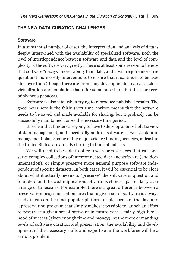## **THE NEW DATA CURATION CHALLENGES**

#### **Software**

In a substantial number of cases, the interpretation and analysis of data is deeply intertwined with the availability of specialized software. Both the level of interdependence between software and data and the level of complexity of the software vary greatly. There is at least some reason to believe that software "decays" more rapidly than data, and it will require more frequent and more costly interventions to ensure that it continues to be useable over time (though there are promising developments in areas such as virtualization and emulation that offer some hope here, but these are certainly not a panacea).

Software is also vital when trying to reproduce published results. The good news here is the fairly short time horizon means that the software needs to be saved and made available for sharing, but it probably can be successfully maintained across the necessary time period.

It is clear that funders are going to have to develop a more holistic view of data management, and specifically address software as well as data in management plans; some of the major science funding agencies, at least in the United States, are already starting to think about this.

We will need to be able to offer researchers services that can preserve complex collections of interconnected data and software (and documentation), or simply preserve more general purpose software independent of specific datasets. In both cases, it will be essential to be clear about what it actually means to "preserve" the software in question and to understand the cost implications of various choices, particularly over a range of timescales. For example, there is a great difference between a preservation program that ensures that a given set of software is always ready to run on the most popular platform or platforms of the day, and a preservation program that simply makes it possible to launch an effort to resurrect a given set of software in future with a fairly high likelihood of success (given enough time and money). At the more demanding levels of software curation and preservation, the availability and development of the necessary skills and expertise in the workforce will be a serious problem.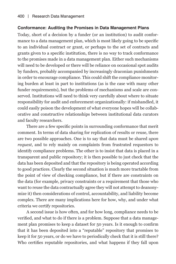## **Conformance: Auditing the Promises in Data Management Plans**

Today, short of a decision by a funder (or an institution) to audit conformance to a data management plan, which is most likely going to be specific to an individual contract or grant, or perhaps to the set of contracts and grants given to a specific institution, there is no way to track conformance to the promises made in a data management plan. Either such mechanisms will need to be developed or there will be reliance on occasional spot audits by funders, probably accompanied by increasingly draconian punishments in order to encourage compliance. This could shift the compliance monitoring burden at least in part to institutions (as is the case with many other funder requirements), but the problems of mechanisms and scale are conserved. Institutions will need to think very carefully about where to situate responsibility for audit and enforcement organizationally: if mishandled, it could easily poison the development of what everyone hopes will be collaborative and constructive relationships between institutional data curators and faculty researchers.

There are a few specific points in surrounding conformance that merit comment. In terms of data sharing for replication of results or reuse, there are two possible approaches. One is to say that data must be shared *upon request*, and to rely mainly on complaints from frustrated requestors to identify compliance problems. The other is to insist that data is placed in a transparent and public repository; it is then possible to just check that the data has been deposited and that the repository is being operated according to good practices. Clearly the second situation is much more tractable from the point of view of checking compliance, but if there are constraints on the data (for example, privacy constraints or a requirement that those who want to reuse the data contractually agree they will not attempt to deanonymize it) then considerations of control, accountability, and liability become complex. There are many implications here for how, why, and under what criteria we certify repositories.

A second issue is how often, and for how long, compliance needs to be verified, and what to do if there is a problem. Suppose that a data management plan promises to keep a dataset for 50 years. Is it enough to confirm that it has been deposited into a "reputable" repository that promises to keep it for 50 years, or do we have to periodically check that it is still there? Who certifies reputable repositories, and what happens if they fall upon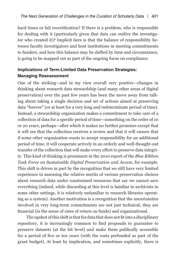hard times or fail recertification? If there is a problem, who is responsible for dealing with it (particularly given that data can outlive the investigator who created it)? Implicit here is that the balance of responsibility between faculty investigators and host institutions in meeting commitments to funders, and how this balance may be shifted by time and circumstance, is going to be mapped out as part of the ongoing focus on compliance.

## **Implications of Term-Limited Data Preservation Strategies: Managing Reassessment**

One of the striking—and in my view overall very positive—changes in thinking about research data stewardship (and many other areas of digital preservation) over the past few years has been the move away from talking about taking a single decision and set of actions aimed at preserving data "forever" (or at least for a very long and indeterminate period of time). Instead, a stewardship organization makes a commitment to take care of a collection of data for a specific period of time—something on the order of 10 or 20 years, perhaps—after which it makes no further promises except that it will see that the collection receives a review and that it will ensure that if some other organization wants to accept responsibility for an additional period of time, it will cooperate actively in an orderly and well-thought-out transfer of the collection that will make every effort to preserve data integrity. This kind of thinking is prominent in the 2010 report of the *Blue Ribbon Task Force on Sustainable Digital Preservation and Access*, for example. This shift is driven in part by the recognition that we still have very limited experience in assessing the relative merits of various preservation choices about research data under constrained resources that say we cannot save everything (indeed, while discarding at this level is familiar to archivists in some other settings, it is relatively unfamiliar to research libraries operating as a system). Another motivation is a recognition that the uncertainties involved in very long-term commitments are not just technical; they are financial (in the sense of rates of return on funds) and organizational.

The upshot of this shift is that for data that does not fit into a disciplinary repository, it is increasingly common to find proposals to guarantee to preserve datasets (at the bit level) and make them publically accessible for a period of five or ten years (with the costs prefunded as part of the grant budget). At least by implication, and sometimes explicitly, there is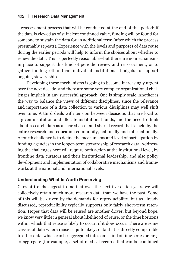a reassessment process that will be conducted at the end of this period; if the data is viewed as of sufficient continued value, funding will be found for someone to sustain the data for an additional term (after which the process presumably repeats). Experience with the levels and purposes of data reuse during the earlier periods will help to inform the choices about whether to renew the data. This is perfectly reasonable—but there are no mechanisms in place to support this kind of periodic review and reassessment, or to gather funding other than individual institutional budgets to support ongoing stewardship.

Developing these mechanisms is going to become increasingly urgent over the next decade, and there are some very complex organizational challenges implicit in any successful approach. One is simply scale. Another is the way to balance the views of different disciplines, since the relevance and importance of a data collection to various disciplines may well shift over time. A third deals with tension between decisions that are local to a given institution and allocate institutional funds, and the need to think about research data as a shared asset and shared record that is held by the entire research and education community, nationally and internationally. A fourth challenge is to define the mechanisms and level of participation by funding agencies in the longer-term stewardship of research data. Addressing the challenges here will require both action at the institutional level, by frontline data curators and their institutional leadership, and also policy development and implementation of collaborative mechanisms and frameworks at the national and international levels.

## **Understanding What Is Worth Preserving**

Current trends suggest to me that over the next five or ten years we will collectively retain much more research data than we have the past. Some of this will be driven by the demands for reproducibility, but as already discussed, reproducibility typically supports only fairly short-term retention. Hopes that data will be reused are another driver, but beyond hope, we know very little in general about likelihood of reuse, or the time horizons within which that reuse is likely to occur, if it does occur. There are some classes of data where reuse is quite likely: data that is directly comparable to other data, which can be aggregated into some kind of time series or larger aggregate (for example, a set of medical records that can be combined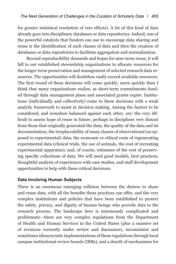for greater statistical resolution of rare effects). A lot of this kind of data already goes into disciplinary databases or data repositories. Indeed, one of the powerful catalysts that funders can use to encourage data sharing and reuse is the identification of such classes of data and then the creation of databases or data repositories to facilitate aggregation and normalization.

Beyond reproducibility demands and hopes for near-term reuse, it will fall to our established stewardship organizations to allocate resources for the longer-term preservation and management of selected research data resources. The opportunities will doubtless vastly exceed available resources. The first round of these decisions will come quickly, more quickly than I think that many organizations realize, as short-term commitments funded through data management plans and associated grants expire. Institutions (individually and collectively) come to these decisions with a weak analytic framework to assist in decision making. Among the factors to be considered, and somehow balanced against each other, are: the very difficult to assess hope of reuse in future, perhaps in disciplines very distant from those that originally generated the data; the quality of the data and its documentation; the irreplaceability of many classes of observational (as opposed to experimental) data; the economic or ethical costs of regenerating experimental data (clinical trials, the use of animals, the cost of recreating experimental apparatus); and, of course, estimates of the cost of preserving specific collections of data. We will need good models, best practices, thoughtful analysis of experiences with case studies, and staff development opportunities to help with these critical decisions.

## **Data Involving Human Subjects**

There is an enormous emerging collision between the desires to share and reuse data, with all the benefits these practices can offer, and the very complex institutions and policies that have been established to protect the safety, privacy, and dignity of human beings who provide data to the research process. The landscape here is enormously complicated and problematic—there are very complex regulations from the Department of Health and Human Services in the United States (plus a massive set of revisions currently under review and discussion), inconsistent and sometimes idiosyncratic implementations of these regulations through local campus institutional review boards (IRBs), and a dearth of mechanisms for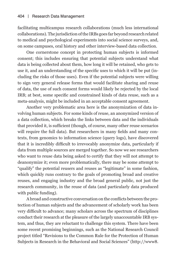facilitating multicampus research collaborations (much less international collaborations). The jurisdiction of the IRBs goes far beyond research related to medical and psychological experiments into social science surveys, and, on some campuses, oral history and other interview-based data collection.

One cornerstone concept in protecting human subjects is informed consent; this includes ensuring that potential subjects understand what data is being collected about them, how long it will be retained, who gets to use it, and an understanding of the specific uses to which it will be put (including the risks of those uses). Even if the potential subjects were willing to sign very general release forms that would facilitate sharing and reuse of data, the use of such consent forms would likely be rejected by the local IRB; at best, some specific and constrained kinds of data reuse, such as a meta-analysis, might be included in an acceptable consent agreement.

Another very problematic area here is the anonymization of data involving human subjects. For some kinds of reuse, an anonymized version of a data collection, which breaks the links between data and the individuals that provided it, is sufficient (though, of course, many other reuse scenarios will require the full data). But researchers in many fields and many contexts, from genomics to information science (query logs), have discovered that it is incredibly difficult to irrevocably anonymize data, particularly if data from multiple sources are merged together. So now we see researchers who want to reuse data being asked to certify that they will not attempt to deanonymize it; even more problematically, there may be some attempt to "qualify" the potential reusers and reuses as "legitimate" in some fashion, which quickly runs contrary to the goals of promoting broad and creative reuses, and engaging industry and the broad general public, not just the research community, in the reuse of data (and particularly data produced with public funding).

A broad and constructive conversation on the conflicts between the protection of human subjects and the advancement of scholarly work has been very difficult to advance; many scholars across the spectrum of disciplines conduct their research at the pleasure of the largely unaccountable IRB system, and thus, they are reluctant to challenge this system. There have been some recent promising beginnings, such as the National Research Council project titled "Revisions to the Common Rule for the Protection of Human Subjects in Research in the Behavioral and Social Sciences" ([http://www8.](http://www8.nationalacademies.org/cp/projectview.aspx?key=49500)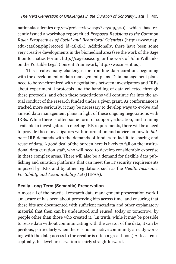[nationalacademies.org/cp/projectview.aspx?key=49500](http://www8.nationalacademies.org/cp/projectview.aspx?key=49500)), which has recently issued a workshop report titled *Proposed Revisions to the Common Rule: Perspectives of Social and Behavioral Scientists* ([http://www.nap.](http://www.nap.edu/catalog.php?record_id=18383) [edu/catalog.php?record\\_id=18383](http://www.nap.edu/catalog.php?record_id=18383)). Additionally, there have been some very creative developments in the biomedical area (see the work of the Sage Bioinformatics Forum, [http://sagebase.org,](http://sagebase.org) or the work of John Wilbanks on the Portable Legal Consent Framework, [http://weconsent.us\)](http://weconsent.us).

This creates many challenges for frontline data curation, beginning with the development of data management plans. Data management plans need to be synchronized with negotiations between investigators and IRBs about experimental protocols and the handling of data collected through these protocols, and often these negotiations will continue far into the actual conduct of the research funded under a given grant. As conformance is tracked more seriously, it may be necessary to develop ways to evolve and amend data management plans in light of these ongoing negotiations with IRBs. While there is often some form of support, education, and training available to investigators in meeting IRB requirements, there will be a need to provide these investigators with information and advice on how to *balance* IRB demands with the demands of funders to facilitate sharing and reuse of data. A good deal of the burden here is likely to fall on the institutional data curation staff, who will need to develop considerable expertise in these complex areas. There will also be a demand for flexible data publishing and curation platforms that can meet the IT security requirements imposed by IRBs and by other regulations such as the *Health Insurance Portability and Accountability Act* (HIPAA).

## **Really Long-Term (Semantic) Preservation**

Almost all of the practical research data management preservation work I am aware of has been about preserving bits across time, and ensuring that these bits are documented with sufficient metadata and other explanatory material that then can be understood and reused, today or tomorrow, by people other than those who created it. (In truth, while it may be possible to reuse data without communicating with the creator of the data, it can be perilous, particularly when there is not an active community already working with the data; access to the creator is often a great boon.) At least conceptually, bit-level preservation is fairly straightforward.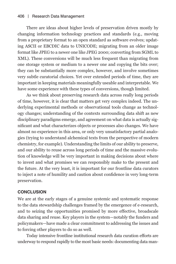#### 406 | Research Data Management

There are ideas about higher levels of preservation driven mostly by changing information technology practices and standards (e.g., moving from a proprietary format to an open standard as software evolves; updating ASCII or EBCDIC data to UNICODE; migrating from an older image format like JPEG to a newer one like JPEG 2000; converting from SGML to XML). These conversions will be much less frequent than migrating from one storage system or medium to a newer one and copying the bits over; they can be substantially more complex, however, and involve sometimes very subtle curatorial choices. Yet over extended periods of time, they are important in keeping materials meaningfully useable and interpretable. We have some experience with these types of conversions, though limited.

As we think about preserving research data across really long periods of time, however, it is clear that matters get very complex indeed. The underlying experimental methods or observational tools change as technology changes; understanding of the contexts surrounding data shift as new disciplinary paradigms emerge, and agreement on what data is actually significant and what characterizes objects or processes also changes. We have almost no experience in this area, or only very unsatisfactory partial analogies (trying to understand alchemical texts from the perspective of modern chemistry, for example). Understanding the limits of our ability to preserve, and our ability to reuse across long periods of time and the massive evolution of knowledge will be very important in making decisions about where to invest and what promises we can responsibly make to the present and the future. At the very least, it is important for our frontline data curators to inject a note of humility and caution about confidence in very long-term preservation.

## **CONCLUSION**

We are at the early stages of a genuine systemic and systematic response to the data stewardship challenges framed by the emergence of e-research, and to seizing the opportunities promised by more effective, broadscale data sharing and reuse. Key players in the system—notably the funders and policymakers—have made a clear commitment to addressing the issues and to forcing other players to do so as well.

Today intensive frontline institutional research data curation efforts are underway to respond rapidly to the most basic needs: documenting data man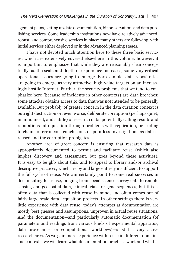agement plans, setting up data documentation, bit preservation, and data publishing services. Some leadership institutions now have relatively advanced, robust, and comprehensive services in place; many others are following, with initial services either deployed or in the advanced planning stages.

I have not devoted much attention here to these three basic services, which are extensively covered elsewhere in this volume; however, it is important to emphasize that while they are reasonably clear conceptually, as the scale and depth of experience increases, some very critical operational issues are going to emerge. For example, data repositories are going to emerge as very attractive, high-value targets on an increasingly hostile Internet. Further, the security problems that we tend to emphasize here (because of incidents in other contexts) are data breaches: some attacker obtains access to data that was not intended to be generally available. But probably of greater concern in the data curation context is outright destruction or, even worse, deliberate corruption (perhaps quiet, unannounced, and subtle) of research data, potentially calling results and reputations into question through problems with replication, or leading to chains of erroneous conclusions or pointless investigations as data is reused and the corruption propigates.

Another area of great concern is ensuring that research data is appropriately documented to permit and facilitate reuse (which also implies discovery and assessment, but goes beyond these activities). It is easy to be glib about this, and to appeal to library and/or archival descriptive practices, which are by and large entirely insufficient to support the full cycle of reuse. We can certainly point to some real successes in documenting for reuse, ranging from social science survey data to remote sensing and geospatial data, clinical trials, or gene sequences, but this is often data that is collected with reuse in mind, and often comes out of fairly large-scale data acquisition projects. In other settings there is very little experience with data reuse; today's attempts at documentation are mostly best guesses and assumptions, unproven in actual reuse situations. And the documentation—and particularly automatic documentation (of parameters and readings from various kinds of experimental apparatus, data provenance, or computational workflows)—is still a very active research area. As we gain more experience with reuse in different domains and contexts, we will learn what documentation practices work and what is